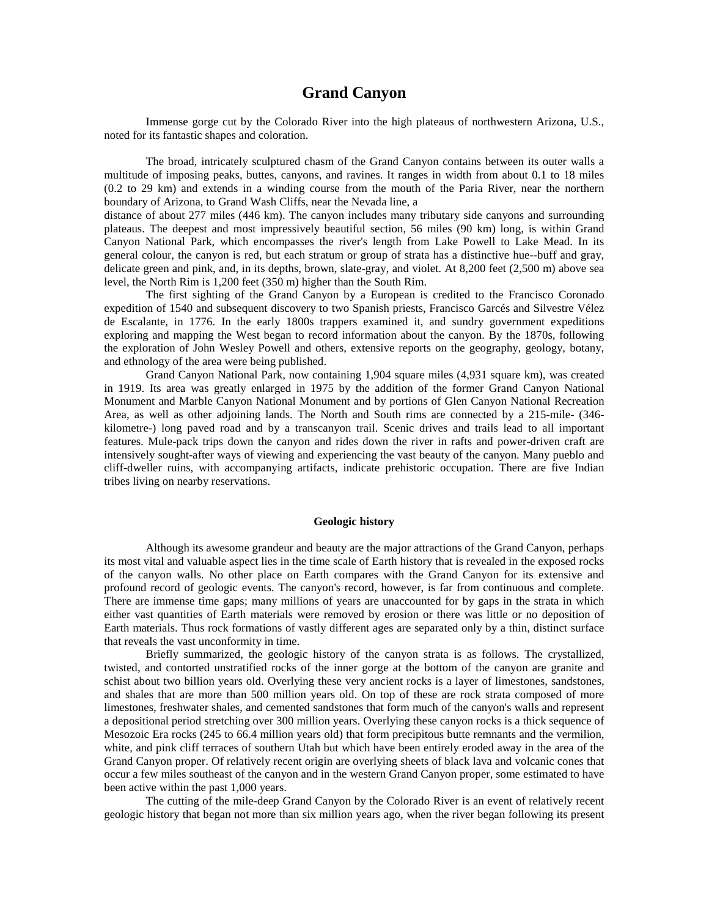## **Grand Canyon**

Immense gorge cut by the Colorado River into the high plateaus of northwestern Arizona, U.S., noted for its fantastic shapes and coloration.

The broad, intricately sculptured chasm of the Grand Canyon contains between its outer walls a multitude of imposing peaks, buttes, canyons, and ravines. It ranges in width from about 0.1 to 18 miles (0.2 to 29 km) and extends in a winding course from the mouth of the Paria River, near the northern boundary of Arizona, to Grand Wash Cliffs, near the Nevada line, a

distance of about 277 miles (446 km). The canyon includes many tributary side canyons and surrounding plateaus. The deepest and most impressively beautiful section, 56 miles (90 km) long, is within Grand Canyon National Park, which encompasses the river's length from Lake Powell to Lake Mead. In its general colour, the canyon is red, but each stratum or group of strata has a distinctive hue--buff and gray, delicate green and pink, and, in its depths, brown, slate-gray, and violet. At 8,200 feet (2,500 m) above sea level, the North Rim is 1,200 feet (350 m) higher than the South Rim.

The first sighting of the Grand Canyon by a European is credited to the Francisco Coronado expedition of 1540 and subsequent discovery to two Spanish priests, Francisco Garcés and Silvestre Vélez de Escalante, in 1776. In the early 1800s trappers examined it, and sundry government expeditions exploring and mapping the West began to record information about the canyon. By the 1870s, following the exploration of John Wesley Powell and others, extensive reports on the geography, geology, botany, and ethnology of the area were being published.

Grand Canyon National Park, now containing 1,904 square miles (4,931 square km), was created in 1919. Its area was greatly enlarged in 1975 by the addition of the former Grand Canyon National Monument and Marble Canyon National Monument and by portions of Glen Canyon National Recreation Area, as well as other adjoining lands. The North and South rims are connected by a 215-mile- (346 kilometre-) long paved road and by a transcanyon trail. Scenic drives and trails lead to all important features. Mule-pack trips down the canyon and rides down the river in rafts and power-driven craft are intensively sought-after ways of viewing and experiencing the vast beauty of the canyon. Many pueblo and cliff-dweller ruins, with accompanying artifacts, indicate prehistoric occupation. There are five Indian tribes living on nearby reservations.

## **Geologic history**

Although its awesome grandeur and beauty are the major attractions of the Grand Canyon, perhaps its most vital and valuable aspect lies in the time scale of Earth history that is revealed in the exposed rocks of the canyon walls. No other place on Earth compares with the Grand Canyon for its extensive and profound record of geologic events. The canyon's record, however, is far from continuous and complete. There are immense time gaps; many millions of years are unaccounted for by gaps in the strata in which either vast quantities of Earth materials were removed by erosion or there was little or no deposition of Earth materials. Thus rock formations of vastly different ages are separated only by a thin, distinct surface that reveals the vast unconformity in time.

Briefly summarized, the geologic history of the canyon strata is as follows. The crystallized, twisted, and contorted unstratified rocks of the inner gorge at the bottom of the canyon are granite and schist about two billion years old. Overlying these very ancient rocks is a layer of limestones, sandstones, and shales that are more than 500 million years old. On top of these are rock strata composed of more limestones, freshwater shales, and cemented sandstones that form much of the canyon's walls and represent a depositional period stretching over 300 million years. Overlying these canyon rocks is a thick sequence of Mesozoic Era rocks (245 to 66.4 million years old) that form precipitous butte remnants and the vermilion, white, and pink cliff terraces of southern Utah but which have been entirely eroded away in the area of the Grand Canyon proper. Of relatively recent origin are overlying sheets of black lava and volcanic cones that occur a few miles southeast of the canyon and in the western Grand Canyon proper, some estimated to have been active within the past 1,000 years.

The cutting of the mile-deep Grand Canyon by the Colorado River is an event of relatively recent geologic history that began not more than six million years ago, when the river began following its present